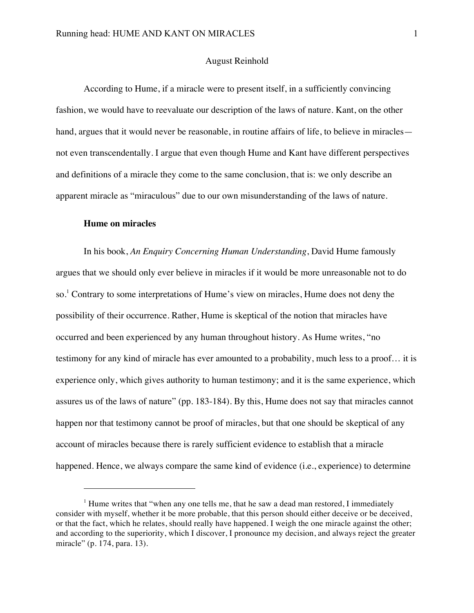## August Reinhold

According to Hume, if a miracle were to present itself, in a sufficiently convincing fashion, we would have to reevaluate our description of the laws of nature. Kant, on the other hand, argues that it would never be reasonable, in routine affairs of life, to believe in miracles not even transcendentally. I argue that even though Hume and Kant have different perspectives and definitions of a miracle they come to the same conclusion, that is: we only describe an apparent miracle as "miraculous" due to our own misunderstanding of the laws of nature.

# **Hume on miracles**

1

In his book, *An Enquiry Concerning Human Understanding*, David Hume famously argues that we should only ever believe in miracles if it would be more unreasonable not to do so.<sup>1</sup> Contrary to some interpretations of Hume's view on miracles, Hume does not deny the possibility of their occurrence. Rather, Hume is skeptical of the notion that miracles have occurred and been experienced by any human throughout history. As Hume writes, "no testimony for any kind of miracle has ever amounted to a probability, much less to a proof… it is experience only, which gives authority to human testimony; and it is the same experience, which assures us of the laws of nature" (pp. 183-184). By this, Hume does not say that miracles cannot happen nor that testimony cannot be proof of miracles, but that one should be skeptical of any account of miracles because there is rarely sufficient evidence to establish that a miracle happened. Hence, we always compare the same kind of evidence (i.e., experience) to determine

 $<sup>1</sup>$  Hume writes that "when any one tells me, that he saw a dead man restored, I immediately</sup> consider with myself, whether it be more probable, that this person should either deceive or be deceived, or that the fact, which he relates, should really have happened. I weigh the one miracle against the other; and according to the superiority, which I discover, I pronounce my decision, and always reject the greater miracle" (p. 174, para. 13).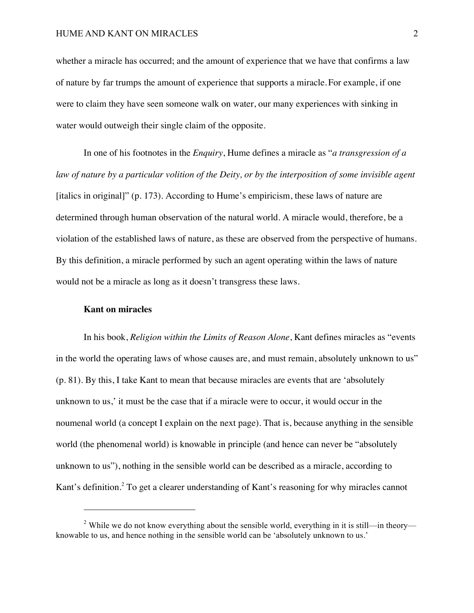whether a miracle has occurred; and the amount of experience that we have that confirms a law of nature by far trumps the amount of experience that supports a miracle. For example, if one were to claim they have seen someone walk on water, our many experiences with sinking in water would outweigh their single claim of the opposite.

In one of his footnotes in the *Enquiry*, Hume defines a miracle as "*a transgression of a law of nature by a particular volition of the Deity, or by the interposition of some invisible agent* [italics in original]" (p. 173). According to Hume's empiricism, these laws of nature are determined through human observation of the natural world. A miracle would, therefore, be a violation of the established laws of nature, as these are observed from the perspective of humans. By this definition, a miracle performed by such an agent operating within the laws of nature would not be a miracle as long as it doesn't transgress these laws.

#### **Kant on miracles**

1

In his book, *Religion within the Limits of Reason Alone*, Kant defines miracles as "events in the world the operating laws of whose causes are, and must remain, absolutely unknown to us" (p. 81). By this, I take Kant to mean that because miracles are events that are 'absolutely unknown to us,' it must be the case that if a miracle were to occur, it would occur in the noumenal world (a concept I explain on the next page). That is, because anything in the sensible world (the phenomenal world) is knowable in principle (and hence can never be "absolutely unknown to us"), nothing in the sensible world can be described as a miracle, according to Kant's definition.<sup>2</sup> To get a clearer understanding of Kant's reasoning for why miracles cannot

<sup>&</sup>lt;sup>2</sup> While we do not know everything about the sensible world, everything in it is still—in theory knowable to us, and hence nothing in the sensible world can be 'absolutely unknown to us.'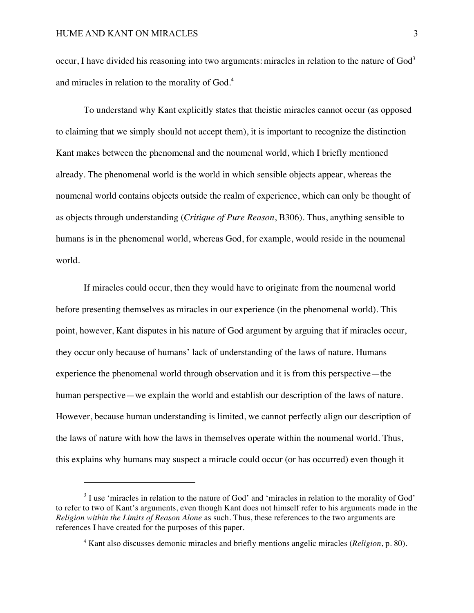<u>.</u>

occur, I have divided his reasoning into two arguments: miracles in relation to the nature of  $God<sup>3</sup>$ and miracles in relation to the morality of God.<sup>4</sup>

To understand why Kant explicitly states that theistic miracles cannot occur (as opposed to claiming that we simply should not accept them), it is important to recognize the distinction Kant makes between the phenomenal and the noumenal world, which I briefly mentioned already. The phenomenal world is the world in which sensible objects appear, whereas the noumenal world contains objects outside the realm of experience, which can only be thought of as objects through understanding (*Critique of Pure Reason*, B306). Thus, anything sensible to humans is in the phenomenal world, whereas God, for example, would reside in the noumenal world.

If miracles could occur, then they would have to originate from the noumenal world before presenting themselves as miracles in our experience (in the phenomenal world). This point, however, Kant disputes in his nature of God argument by arguing that if miracles occur, they occur only because of humans' lack of understanding of the laws of nature. Humans experience the phenomenal world through observation and it is from this perspective—the human perspective—we explain the world and establish our description of the laws of nature. However, because human understanding is limited, we cannot perfectly align our description of the laws of nature with how the laws in themselves operate within the noumenal world. Thus, this explains why humans may suspect a miracle could occur (or has occurred) even though it

<sup>&</sup>lt;sup>3</sup> I use 'miracles in relation to the nature of God' and 'miracles in relation to the morality of God' to refer to two of Kant's arguments, even though Kant does not himself refer to his arguments made in the *Religion within the Limits of Reason Alone* as such. Thus, these references to the two arguments are references I have created for the purposes of this paper.

<sup>4</sup> Kant also discusses demonic miracles and briefly mentions angelic miracles (*Religion*, p. 80).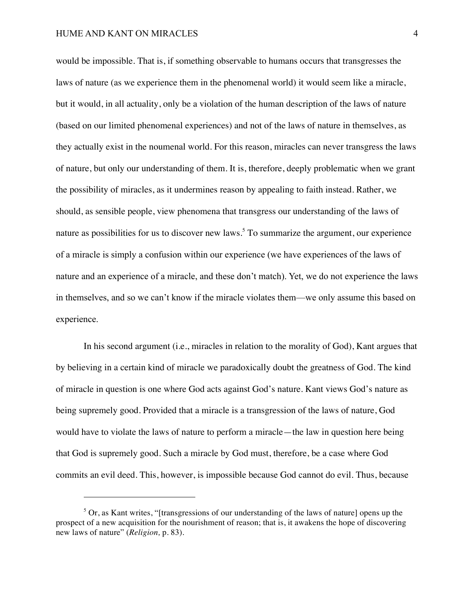<u>.</u>

would be impossible. That is, if something observable to humans occurs that transgresses the laws of nature (as we experience them in the phenomenal world) it would seem like a miracle, but it would, in all actuality, only be a violation of the human description of the laws of nature (based on our limited phenomenal experiences) and not of the laws of nature in themselves, as they actually exist in the noumenal world. For this reason, miracles can never transgress the laws of nature, but only our understanding of them. It is, therefore, deeply problematic when we grant the possibility of miracles, as it undermines reason by appealing to faith instead. Rather, we should, as sensible people, view phenomena that transgress our understanding of the laws of nature as possibilities for us to discover new laws.<sup>5</sup> To summarize the argument, our experience of a miracle is simply a confusion within our experience (we have experiences of the laws of nature and an experience of a miracle, and these don't match). Yet, we do not experience the laws in themselves, and so we can't know if the miracle violates them—we only assume this based on experience.

In his second argument (i.e., miracles in relation to the morality of God), Kant argues that by believing in a certain kind of miracle we paradoxically doubt the greatness of God. The kind of miracle in question is one where God acts against God's nature. Kant views God's nature as being supremely good. Provided that a miracle is a transgression of the laws of nature, God would have to violate the laws of nature to perform a miracle—the law in question here being that God is supremely good. Such a miracle by God must, therefore, be a case where God commits an evil deed. This, however, is impossible because God cannot do evil. Thus, because

 $5$  Or, as Kant writes, "[transgressions of our understanding of the laws of nature] opens up the prospect of a new acquisition for the nourishment of reason; that is, it awakens the hope of discovering new laws of nature" (*Religion,* p. 83).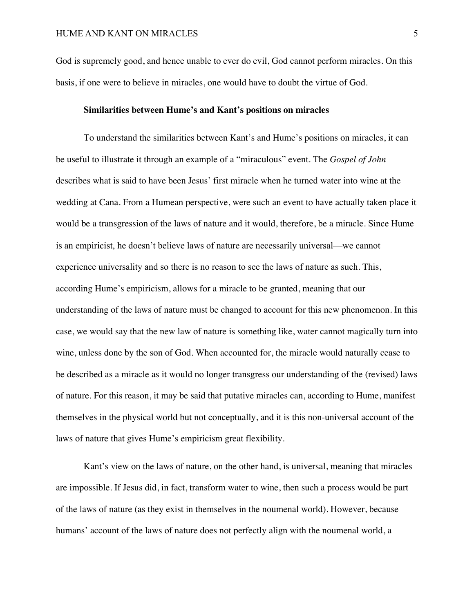God is supremely good, and hence unable to ever do evil, God cannot perform miracles. On this basis, if one were to believe in miracles, one would have to doubt the virtue of God.

## **Similarities between Hume's and Kant's positions on miracles**

To understand the similarities between Kant's and Hume's positions on miracles, it can be useful to illustrate it through an example of a "miraculous" event. The *Gospel of John* describes what is said to have been Jesus' first miracle when he turned water into wine at the wedding at Cana. From a Humean perspective, were such an event to have actually taken place it would be a transgression of the laws of nature and it would, therefore, be a miracle. Since Hume is an empiricist, he doesn't believe laws of nature are necessarily universal—we cannot experience universality and so there is no reason to see the laws of nature as such. This, according Hume's empiricism, allows for a miracle to be granted, meaning that our understanding of the laws of nature must be changed to account for this new phenomenon. In this case, we would say that the new law of nature is something like, water cannot magically turn into wine, unless done by the son of God. When accounted for, the miracle would naturally cease to be described as a miracle as it would no longer transgress our understanding of the (revised) laws of nature. For this reason, it may be said that putative miracles can, according to Hume, manifest themselves in the physical world but not conceptually, and it is this non-universal account of the laws of nature that gives Hume's empiricism great flexibility.

Kant's view on the laws of nature, on the other hand, is universal, meaning that miracles are impossible. If Jesus did, in fact, transform water to wine, then such a process would be part of the laws of nature (as they exist in themselves in the noumenal world). However, because humans' account of the laws of nature does not perfectly align with the noumenal world, a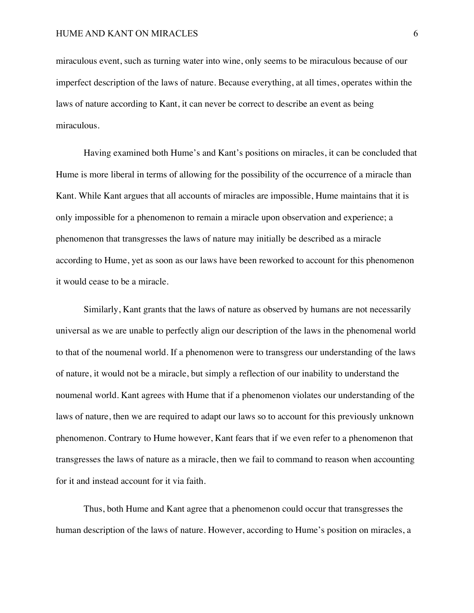miraculous event, such as turning water into wine, only seems to be miraculous because of our imperfect description of the laws of nature. Because everything, at all times, operates within the laws of nature according to Kant, it can never be correct to describe an event as being miraculous.

Having examined both Hume's and Kant's positions on miracles, it can be concluded that Hume is more liberal in terms of allowing for the possibility of the occurrence of a miracle than Kant. While Kant argues that all accounts of miracles are impossible, Hume maintains that it is only impossible for a phenomenon to remain a miracle upon observation and experience; a phenomenon that transgresses the laws of nature may initially be described as a miracle according to Hume, yet as soon as our laws have been reworked to account for this phenomenon it would cease to be a miracle.

Similarly, Kant grants that the laws of nature as observed by humans are not necessarily universal as we are unable to perfectly align our description of the laws in the phenomenal world to that of the noumenal world. If a phenomenon were to transgress our understanding of the laws of nature, it would not be a miracle, but simply a reflection of our inability to understand the noumenal world. Kant agrees with Hume that if a phenomenon violates our understanding of the laws of nature, then we are required to adapt our laws so to account for this previously unknown phenomenon. Contrary to Hume however, Kant fears that if we even refer to a phenomenon that transgresses the laws of nature as a miracle, then we fail to command to reason when accounting for it and instead account for it via faith.

Thus, both Hume and Kant agree that a phenomenon could occur that transgresses the human description of the laws of nature. However, according to Hume's position on miracles, a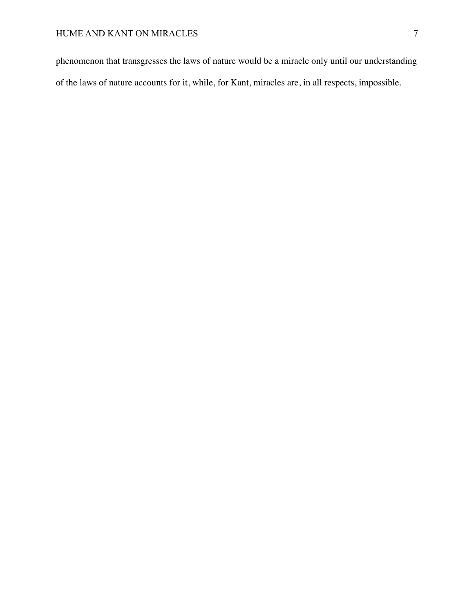phenomenon that transgresses the laws of nature would be a miracle only until our understanding of the laws of nature accounts for it, while, for Kant, miracles are, in all respects, impossible.